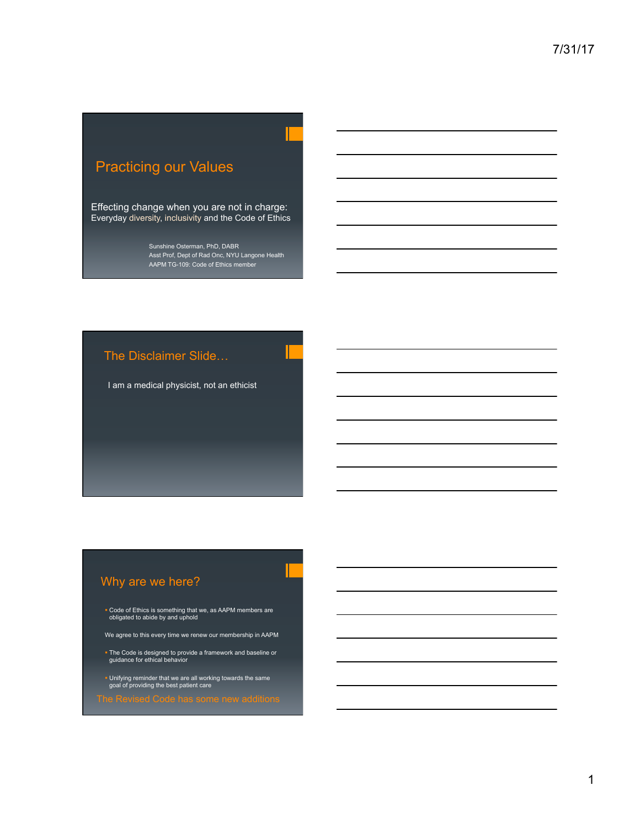# Practicing our Values

Effecting change when you are not in charge: Everyday diversity, inclusivity and the Code of Ethics

> Sunshine Osterman, PhD, DABR Asst Prof, Dept of Rad Onc, NYU Langone Health AAPM TG-109: Code of Ethics member

# The Disclaimer Slide…

I am a medical physicist, not an ethicist

# Why are we here?

! Code of Ethics is something that we, as AAPM members are obligated to abide by and uphold

We agree to this every time we renew our membership in AAPM

- ! The Code is designed to provide a framework and baseline or guidance for ethical behavior
- ! Unifying reminder that we are all working towards the same goal of providing the best patient care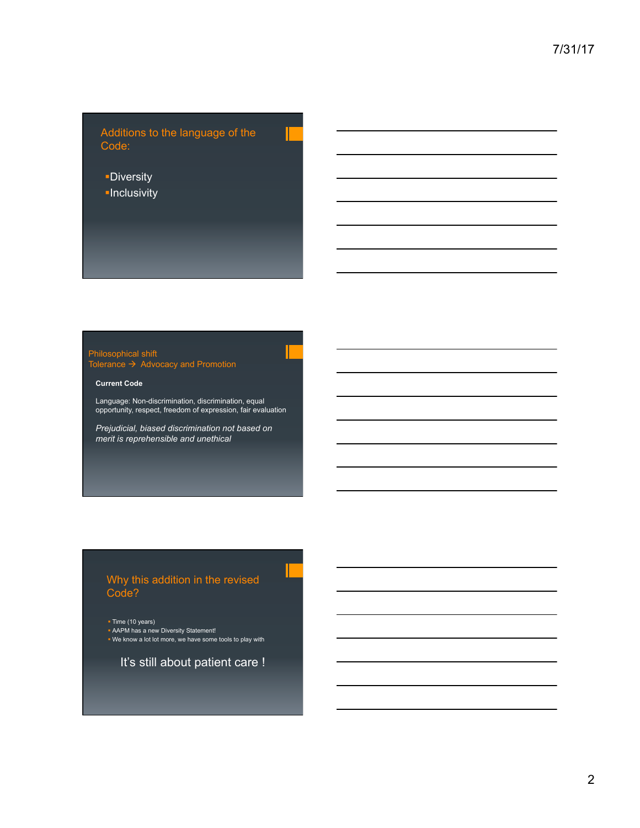Additions to the language of the Code:

- **-Diversity**
- **-Inclusivity**

#### Philosophical shift

Tolerance  $\rightarrow$  Advocacy and Promotion

#### **Current Code**

Language: Non-discrimination, discrimination, equal opportunity, respect, freedom of expression, fair evaluation

*Prejudicial, biased discrimination not based on merit is reprehensible and unethical* 

### Why this addition in the revised Code?

• Time (10 years)

**AAPM has a new Diversity Statement!** . We know a lot lot more, we have some tools to play with

It's still about patient care !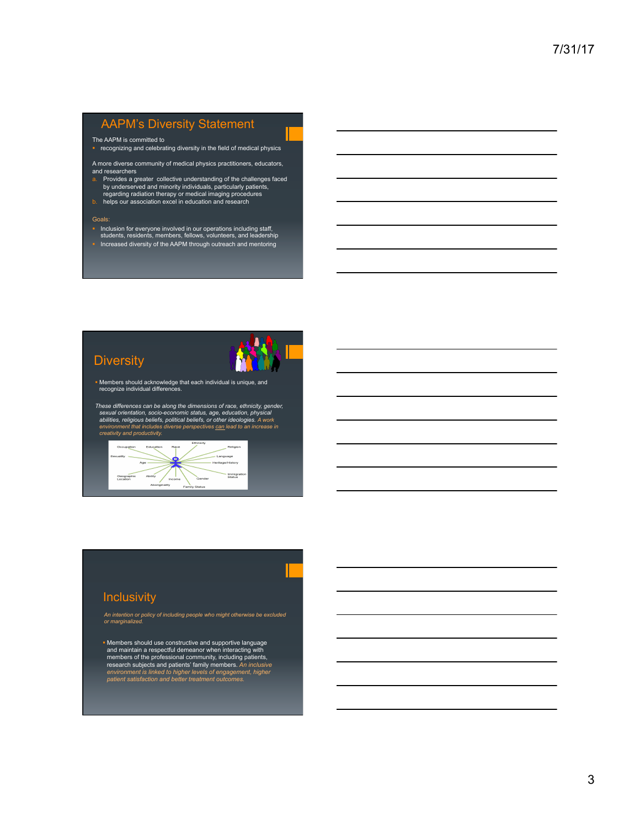# AAPM's Diversity Statement

The AAPM is committed to

- ! recognizing and celebrating diversity in the field of medical physics
- A more diverse community of medical physics practitioners, educators, and researchers
- a. Provides a greater collective understanding of the challenges faced by underserved and minority individuals, particularly patients,<br>regarding radiation therapy or medical imaging procedures<br>b. helps our association excel in education and research
- 

#### Goals:

- ! Inclusion for everyone involved in our operations including staff, students, residents, members, fellows, volunteers, and leadership
- . Increased diversity of the AAPM through outreach and mentoring

### **Diversity**



- ! Members should acknowledge that each individual is unique, and recognize individual differences.
- *These differences can be along the dimensions of race, ethnicity, gender,*  sexual orientation, socio-economic status, age, education, physical<br>abilities, religious beliefs, political beliefs, or other ideologies. A work<br>environment that includes diverse perspectives <u>can</u> lead to an increase in<br>c



#### **Inclusivity**

*An intention or policy of including people who might otherwise be excluded or marginalized.*

! Members should use constructive and supportive language and maintain a respectful demeanor when interacting with members of the professional community, including patients, research subjects and patients' family members. *An inclusive environment is linked to higher levels of engagement, higher patient satisfaction and better treatment outcomes.*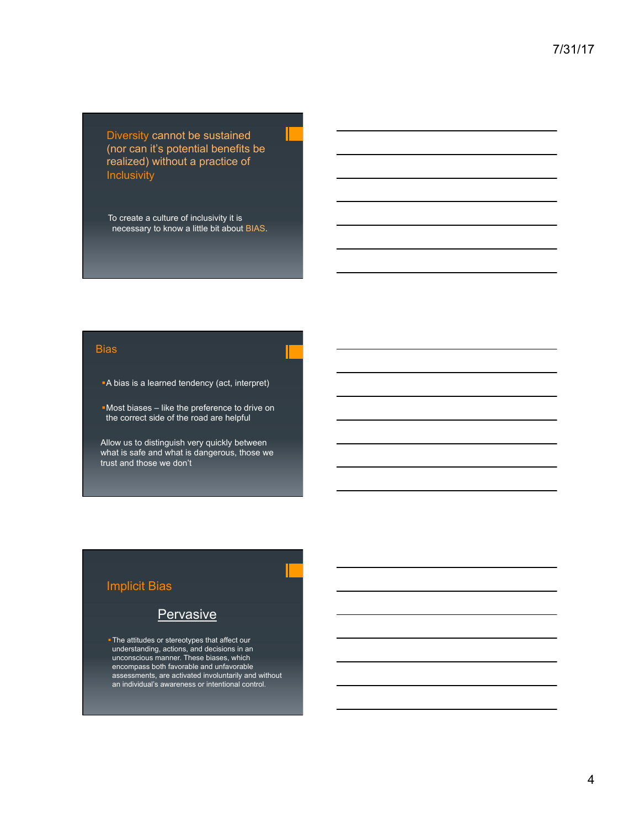Diversity cannot be sustained (nor can it's potential benefits be realized) without a practice of **Inclusivity** 

To create a culture of inclusivity it is necessary to know a little bit about BIAS.

#### **Bias**

**A bias is a learned tendency (act, interpret)** 

!Most biases – like the preference to drive on the correct side of the road are helpful

Allow us to distinguish very quickly between what is safe and what is dangerous, those we trust and those we don't

### Implicit Bias

### **Pervasive**

. The attitudes or stereotypes that affect our understanding, actions, and decisions in an unconscious manner. These biases, which encompass both favorable and unfavorable assessments, are activated involuntarily and without an individual's awareness or intentional control.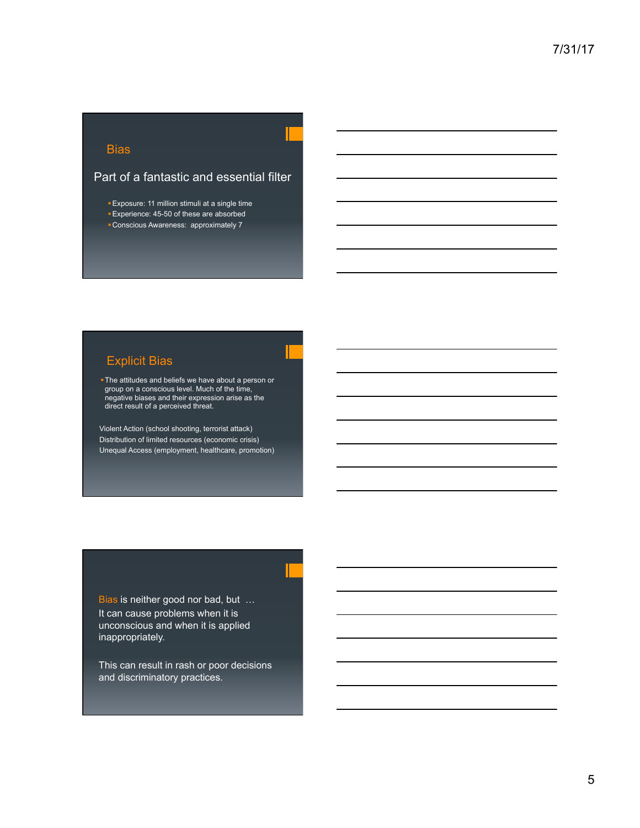### **Bias**

#### Part of a fantastic and essential filter

**Exposure: 11 million stimuli at a single time** 

- !Experience: 45-50 of these are absorbed
- !Conscious Awareness: approximately 7

## Explicit Bias

. The attitudes and beliefs we have about a person or group on a conscious level. Much of the time, negative biases and their expression arise as the direct result of a perceived threat.

Violent Action (school shooting, terrorist attack) Distribution of limited resources (economic crisis) Unequal Access (employment, healthcare, promotion)

Bias is neither good nor bad, but … It can cause problems when it is unconscious and when it is applied inappropriately.

This can result in rash or poor decisions and discriminatory practices.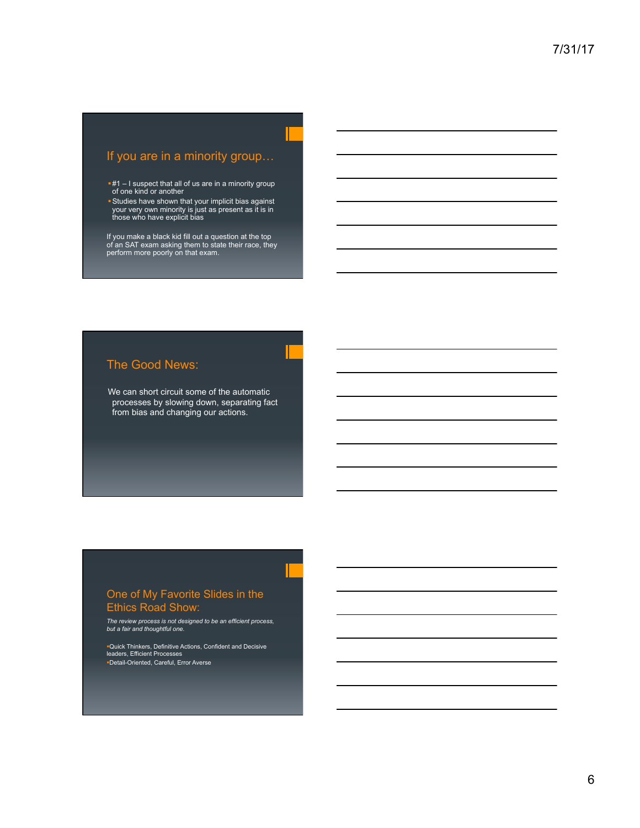### If you are in a minority group…

- **#1** I suspect that all of us are in a minority group<br>of one kind or another
- !Studies have shown that your implicit bias against your very own minority is just as present as it is in those who have explicit bias

If you make a black kid fill out a question at the top of an SAT exam asking them to state their race, they perform more poorly on that exam.

### The Good News:

We can short circuit some of the automatic processes by slowing down, separating fact from bias and changing our actions.

#### One of My Favorite Slides in the Ethics Road Show:

*The review process is not designed to be an efficient process, but a fair and thoughtful one.* 

!Quick Thinkers, Definitive Actions, Confident and Decisive leaders, Efficient Processes !Detail-Oriented, Careful, Error Averse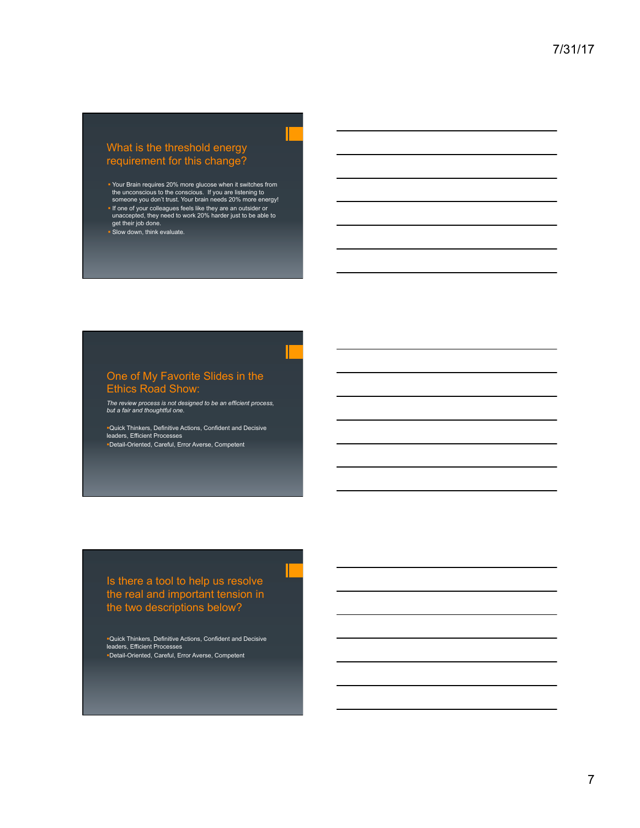#### What is the threshold energy requirement for this change?

- ! Your Brain requires 20% more glucose when it switches from the unconscious to the conscious. If you are listening to someone you don't trust. Your brain needs 20% more energy!
- ! If one of your colleagues feels like they are an outsider or unaccepted, they need to work 20% harder just to be able to get their job done. ! Slow down, think evaluate.

#### One of My Favorite Slides in the Ethics Road Show:

*The review process is not designed to be an efficient process, but a fair and thoughtful one.* 

!Quick Thinkers, Definitive Actions, Confident and Decisive leaders, Efficient Processes !Detail-Oriented, Careful, Error Averse, Competent

#### Is there a tool to help us resolve the real and important tension in the two descriptions below?

!Quick Thinkers, Definitive Actions, Confident and Decisive leaders, Efficient Processes !Detail-Oriented, Careful, Error Averse, Competent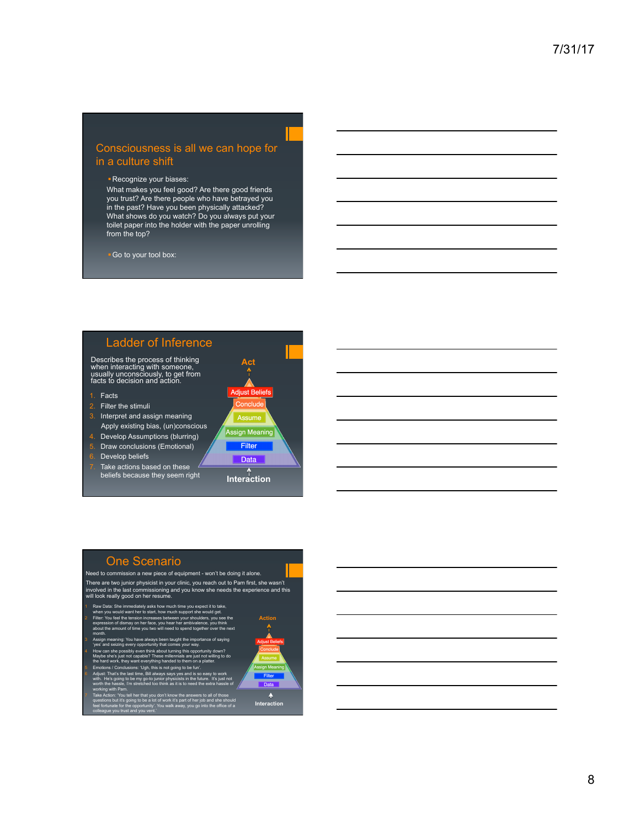#### Consciousness is all we can hope for in a culture shift

#### !Recognize your biases:

What makes you feel good? Are there good friends you trust? Are there people who have betrayed you in the past? Have you been physically attacked? What shows do you watch? Do you always put your toilet paper into the holder with the paper unrolling from the top?

!Go to your tool box:

### Ladder of Inference

Describes the process of thinking when interacting with someone, usually unconsciously, to get from facts to decision and action.

1. Facts

- 2. Filter the stimuli
- 3. Interpret and assign meaning Apply existing bias, (un)conscious

4. Develop Assumptions (blurring)

- 5. Draw conclusions (Emotional)
- 6. Develop beliefs
- Take actions based on these beliefs because they seem right



**Assign Meaning** Filter

Data

**Interaction** 

#### One Scenario

#### Need to commission a new piece of equipment - won't be doing it alone. There are two junior physicist in your clinic, you reach out to Pam first, she wasn't involved in the last commissioning and you know she needs the experience and this will look really good on her resume.

1 Raw Data: She immediately asks how much time you expect it to take, when you would want her to start, how much support she would get. 2 Filter: You feel the tension increases between your shoulders, you see the expression of dismay on her face, you hear her ambivalence, you think about the amount of time you two will need to spend together over the next month.

3 Assign meaning: You have always been taught the importance of saying 'yes' and seizing every opportunity that comes your way. 4 How can she possibly even think about turning this opportunity down? Maybe she's just not capable? These millennials are just not willing to do the hard work, they want everything handed to them on a platter.

ng to be fur 6 Adjust: That's the last time, Bill always says yes and is so easy to work with. He's going to be my go-to junior physicists in the future. It's just not

worth the hassle, I'm stretched too think as it is to need the extra hassle of working with Pam. 7 Take Action: 'You tell her that you don't know the answers to all of those questions but it's going to be a lot of work it's part of her job and she should

feel fortunate for the opportunity'. You walk away, you go into the office of a colleague you trust and you vent.'



**Interaction** 

Ą



8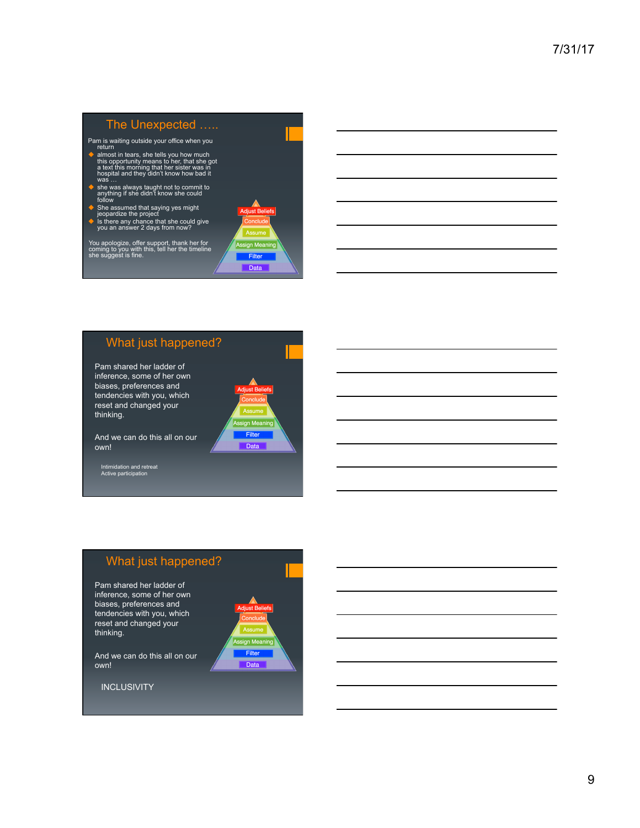### The Unexpected …..

- 
- Pam is waiting outside your office when you<br>return<br> $\bullet$  latmost in tears, she tells you how much<br>this opportunity means to her, that she got<br>a text this morning that her sister was in<br>hospital and they didn't know how bad
- # she was always taught not to commit to anything if she didn't know she could follow
- 
- 
- ◆ She assumed that saying yes might<br>
jeopardize the project<br>
◆ Is there any chance that she could give<br>
you an answer 2 days from now?

You apologize, offer support, thank her for coming to you with this, tell her the timeline she suggest is fine.



## What just happened?

Pam shared her ladder of inference, some of her own biases, preferences and tendencies with you, which reset and changed your thinking.

And we can do this all on our own!

Intimidation and retreat Active participation



# What just happened?

Pam shared her ladder of inference, some of her own biases, preferences and tendencies with you, which reset and changed your thinking.



And we can do this all on our own!

**INCLUSIVITY**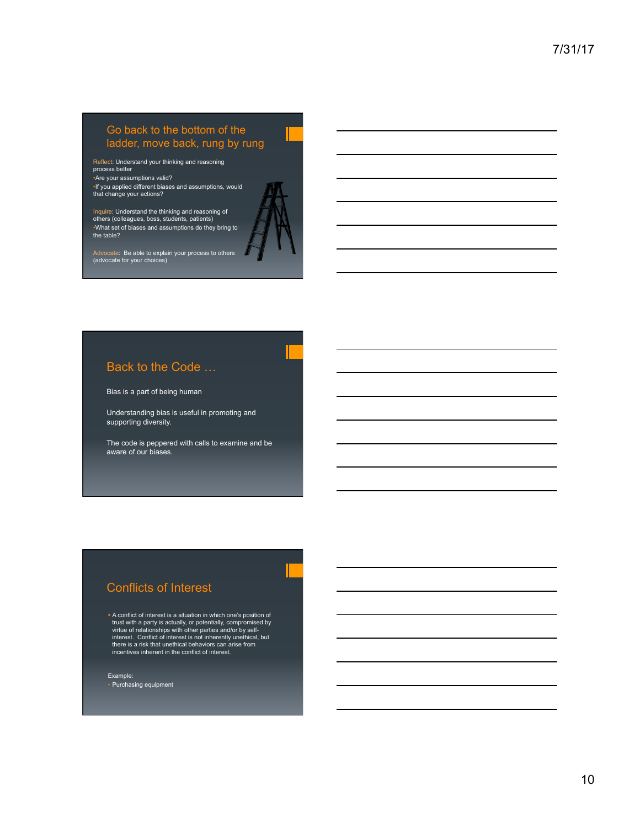### Go back to the bottom of the ladder, move back, rung by rung

Reflect: Understand your thinking and reasoning process better •Are your assumptions valid?

•If you applied different biases and assumptions, would that change your actions?

Inquire: Understand the thinking and reasoning of others (colleagues, boss, students, patients) •What set of biases and assumptions do they bring to the table?



Advocate: Be able to explain your process to others (advocate for your choices)

#### Back to the Code …

Bias is a part of being human

Understanding bias is useful in promoting and supporting diversity.

The code is peppered with calls to examine and be aware of our biases.

#### Conflicts of Interest

! A conflict of interest is a situation in which one's position of trust with a party is actually, or potentially, compromised by<br>virtue of relationships with other parties and/or by self-<br>interest. Conflict of interest is not inherently unethical, but<br>there is a risk that unethical behav

Example: • Purchasing equipment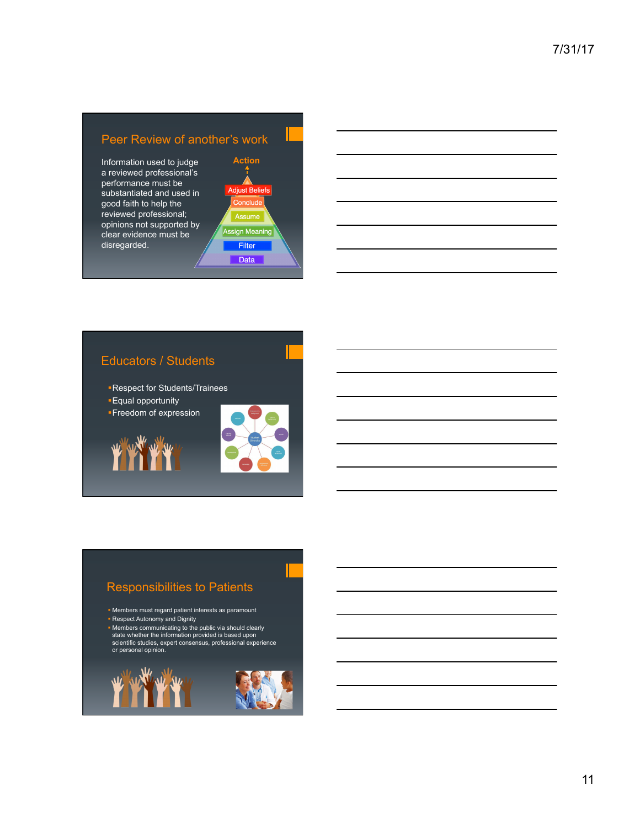### Peer Review of another's work

Information used to judge a reviewed professional's performance must be substantiated and used in good faith to help the reviewed professional; opinions not supported by clear evidence must be disregarded.



# Educators / Students

!Respect for Students/Trainees

- **Equal opportunity**
- **E**reedom of expression





### Responsibilities to Patients

- ! Members must regard patient interests as paramount **Respect Autonomy and Dignity**
- ! Members communicating to the public via should clearly state whether the information provided is based upon scientific studies, expert consensus, professional experience or personal opinion.